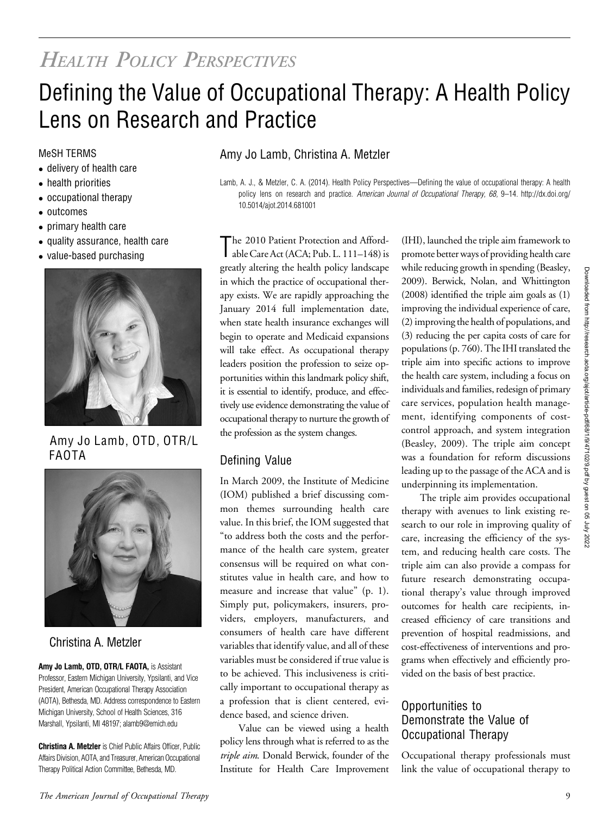# HEALTH POLICY PERSPECTIVES

# Defining the Value of Occupational Therapy: A Health Policy Lens on Research and Practice

- delivery of health care
- health priorities
- occupational therapy
- outcomes
- primary health care
- quality assurance, health care
- value-based purchasing



Amy Jo Lamb, OTD, OTR/L FAOTA



## Christina A. Metzler

Amy Jo Lamb, OTD, OTR/L FAOTA, is Assistant Professor, Eastern Michigan University, Ypsilanti, and Vice President, American Occupational Therapy Association (AOTA), Bethesda, MD. Address correspondence to Eastern Michigan University, School of Health Sciences, 316 Marshall, Ypsilanti, MI 48197; [alamb9@emich.edu](mailto:alamb9@emich.edu)

Christina A. Metzler is Chief Public Affairs Officer, Public Affairs Division, AOTA, and Treasurer, American Occupational Therapy Political Action Committee, Bethesda, MD.

### MeSH TERMS **Amy Jo Lamb, Christina A. Metzler**

Lamb, A. J., & Metzler, C. A. (2014). Health Policy Perspectives—Defining the value of occupational therapy: A health policy lens on research and practice. American Journal of Occupational Therapy, 68, 9-14. http://dx.doi.org/ 10.5014/ajot.2014.681001

The 2010 Patient Protection and Afford-<br>able Care Act (ACA; Pub. L. 111–148) is The 2010 Patient Protection and Affordgreatly altering the health policy landscape in which the practice of occupational therapy exists. We are rapidly approaching the January 2014 full implementation date, when state health insurance exchanges will begin to operate and Medicaid expansions will take effect. As occupational therapy leaders position the profession to seize opportunities within this landmark policy shift, it is essential to identify, produce, and effectively use evidence demonstrating the value of occupational therapy to nurture the growth of the profession as the system changes.

## Defining Value

In March 2009, the Institute of Medicine (IOM) published a brief discussing common themes surrounding health care value. In this brief, the IOM suggested that "to address both the costs and the performance of the health care system, greater consensus will be required on what constitutes value in health care, and how to measure and increase that value" (p. 1). Simply put, policymakers, insurers, providers, employers, manufacturers, and consumers of health care have different variables that identify value, and all of these variables must be considered if true value is to be achieved. This inclusiveness is critically important to occupational therapy as a profession that is client centered, evidence based, and science driven.

Value can be viewed using a health policy lens through what is referred to as the triple aim. Donald Berwick, founder of the Institute for Health Care Improvement

(IHI), launched the triple aim framework to promote better ways of providing health care while reducing growth in spending (Beasley, 2009). Berwick, Nolan, and Whittington (2008) identified the triple aim goals as (1) improving the individual experience of care, (2) improving the health of populations, and (3) reducing the per capita costs of care for populations (p. 760). The IHI translated the triple aim into specific actions to improve the health care system, including a focus on individuals and families, redesign of primary care services, population health management, identifying components of costcontrol approach, and system integration (Beasley, 2009). The triple aim concept was a foundation for reform discussions leading up to the passage of the ACA and is underpinning its implementation.

The triple aim provides occupational therapy with avenues to link existing research to our role in improving quality of care, increasing the efficiency of the system, and reducing health care costs. The triple aim can also provide a compass for future research demonstrating occupational therapy's value through improved outcomes for health care recipients, increased efficiency of care transitions and prevention of hospital readmissions, and cost-effectiveness of interventions and programs when effectively and efficiently provided on the basis of best practice.

#### Opportunities to Demonstrate the Value of Occupational Therapy

Occupational therapy professionals must link the value of occupational therapy to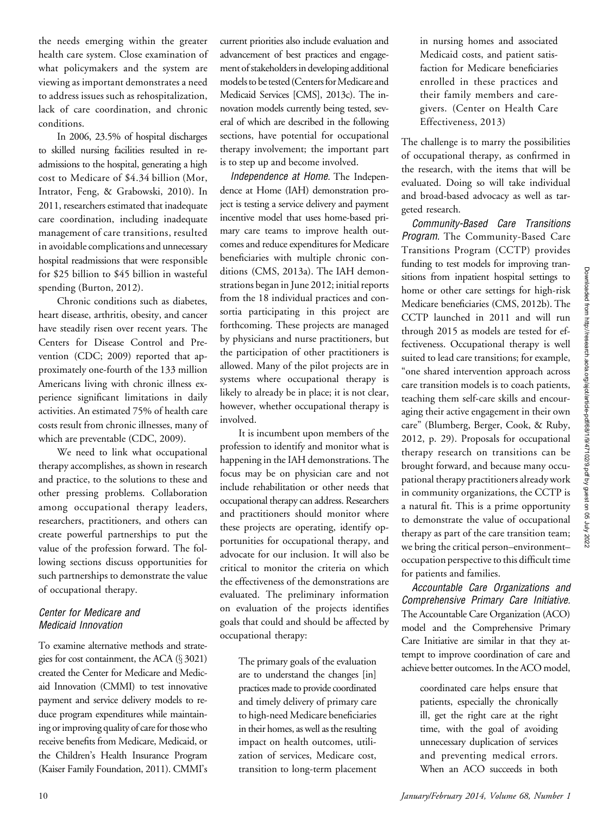the needs emerging within the greater health care system. Close examination of what policymakers and the system are viewing as important demonstrates a need to address issues such as rehospitalization, lack of care coordination, and chronic conditions.

In 2006, 23.5% of hospital discharges to skilled nursing facilities resulted in readmissions to the hospital, generating a high cost to Medicare of \$4.34 billion (Mor, Intrator, Feng, & Grabowski, 2010). In 2011, researchers estimated that inadequate care coordination, including inadequate management of care transitions, resulted in avoidable complications and unnecessary hospital readmissions that were responsible for \$25 billion to \$45 billion in wasteful spending (Burton, 2012).

Chronic conditions such as diabetes, heart disease, arthritis, obesity, and cancer have steadily risen over recent years. The Centers for Disease Control and Prevention (CDC; 2009) reported that approximately one-fourth of the 133 million Americans living with chronic illness experience significant limitations in daily activities. An estimated 75% of health care costs result from chronic illnesses, many of which are preventable (CDC, 2009).

We need to link what occupational therapy accomplishes, as shown in research and practice, to the solutions to these and other pressing problems. Collaboration among occupational therapy leaders, researchers, practitioners, and others can create powerful partnerships to put the value of the profession forward. The following sections discuss opportunities for such partnerships to demonstrate the value of occupational therapy.

#### Center for Medicare and Medicaid Innovation

To examine alternative methods and strategies for cost containment, the ACA  $(\S 3021)$ created the Center for Medicare and Medicaid Innovation (CMMI) to test innovative payment and service delivery models to reduce program expenditures while maintaining or improving quality of care for those who receive benefits from Medicare, Medicaid, or the Children's Health Insurance Program (Kaiser Family Foundation, 2011). CMMI's

current priorities also include evaluation and advancement of best practices and engagement of stakeholders in developing additional models to be tested (Centers for Medicare and Medicaid Services [CMS], 2013c). The innovation models currently being tested, several of which are described in the following sections, have potential for occupational therapy involvement; the important part is to step up and become involved.

Independence at Home. The Independence at Home (IAH) demonstration project is testing a service delivery and payment incentive model that uses home-based primary care teams to improve health outcomes and reduce expenditures for Medicare beneficiaries with multiple chronic conditions (CMS, 2013a). The IAH demonstrations began in June 2012; initial reports from the 18 individual practices and consortia participating in this project are forthcoming. These projects are managed by physicians and nurse practitioners, but the participation of other practitioners is allowed. Many of the pilot projects are in systems where occupational therapy is likely to already be in place; it is not clear, however, whether occupational therapy is involved.

It is incumbent upon members of the profession to identify and monitor what is happening in the IAH demonstrations. The focus may be on physician care and not include rehabilitation or other needs that occupational therapy can address. Researchers and practitioners should monitor where these projects are operating, identify opportunities for occupational therapy, and advocate for our inclusion. It will also be critical to monitor the criteria on which the effectiveness of the demonstrations are evaluated. The preliminary information on evaluation of the projects identifies goals that could and should be affected by occupational therapy:

The primary goals of the evaluation are to understand the changes [in] practices made to provide coordinated and timely delivery of primary care to high-need Medicare beneficiaries in their homes, as well as the resulting impact on health outcomes, utilization of services, Medicare cost, transition to long-term placement

in nursing homes and associated Medicaid costs, and patient satisfaction for Medicare beneficiaries enrolled in these practices and their family members and caregivers. (Center on Health Care Effectiveness, 2013)

The challenge is to marry the possibilities of occupational therapy, as confirmed in the research, with the items that will be evaluated. Doing so will take individual and broad-based advocacy as well as targeted research.

Community-Based Care Transitions Program. The Community-Based Care Transitions Program (CCTP) provides funding to test models for improving transitions from inpatient hospital settings to home or other care settings for high-risk Medicare beneficiaries (CMS, 2012b). The CCTP launched in 2011 and will run through 2015 as models are tested for effectiveness. Occupational therapy is well suited to lead care transitions; for example, "one shared intervention approach across care transition models is to coach patients, teaching them self-care skills and encouraging their active engagement in their own care" (Blumberg, Berger, Cook, & Ruby, 2012, p. 29). Proposals for occupational therapy research on transitions can be brought forward, and because many occupational therapy practitioners already work in community organizations, the CCTP is a natural fit. This is a prime opportunity to demonstrate the value of occupational therapy as part of the care transition team; we bring the critical person–environment– occupation perspective to this difficult time for patients and families.

Accountable Care Organizations and Comprehensive Primary Care Initiative. The Accountable Care Organization (ACO) model and the Comprehensive Primary Care Initiative are similar in that they attempt to improve coordination of care and achieve better outcomes. In the ACO model,

> coordinated care helps ensure that patients, especially the chronically ill, get the right care at the right time, with the goal of avoiding unnecessary duplication of services and preventing medical errors. When an ACO succeeds in both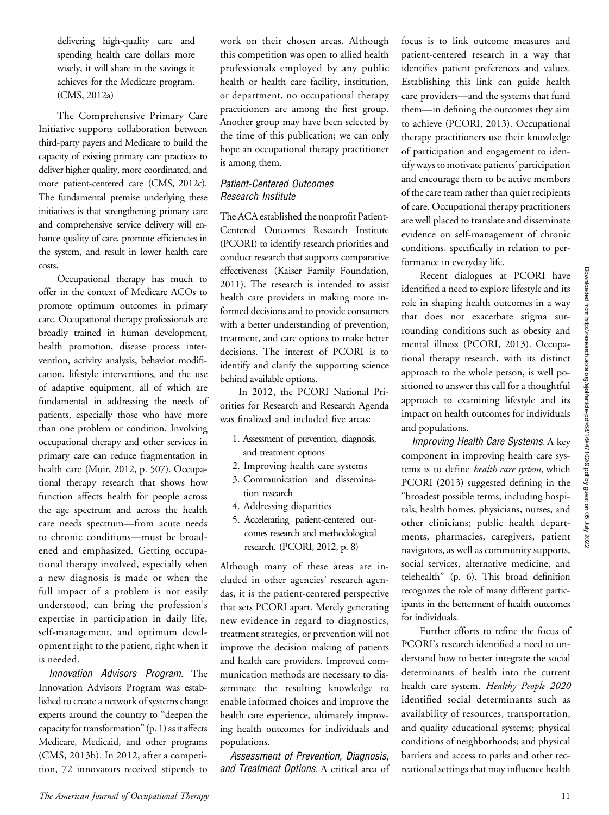delivering high-quality care and spending health care dollars more wisely, it will share in the savings it achieves for the Medicare program. (CMS, 2012a)

The Comprehensive Primary Care Initiative supports collaboration between third-party payers and Medicare to build the capacity of existing primary care practices to deliver higher quality, more coordinated, and more patient-centered care (CMS, 2012c). The fundamental premise underlying these initiatives is that strengthening primary care and comprehensive service delivery will enhance quality of care, promote efficiencies in the system, and result in lower health care costs.

Occupational therapy has much to offer in the context of Medicare ACOs to promote optimum outcomes in primary care. Occupational therapy professionals are broadly trained in human development, health promotion, disease process intervention, activity analysis, behavior modification, lifestyle interventions, and the use of adaptive equipment, all of which are fundamental in addressing the needs of patients, especially those who have more than one problem or condition. Involving occupational therapy and other services in primary care can reduce fragmentation in health care (Muir, 2012, p. 507). Occupational therapy research that shows how function affects health for people across the age spectrum and across the health care needs spectrum—from acute needs to chronic conditions—must be broadened and emphasized. Getting occupational therapy involved, especially when a new diagnosis is made or when the full impact of a problem is not easily understood, can bring the profession's expertise in participation in daily life, self-management, and optimum development right to the patient, right when it is needed.

Innovation Advisors Program. The Innovation Advisors Program was established to create a network of systems change experts around the country to "deepen the capacity for transformation" (p. 1) as it affects Medicare, Medicaid, and other programs (CMS, 2013b). In 2012, after a competition, 72 innovators received stipends to

work on their chosen areas. Although this competition was open to allied health professionals employed by any public health or health care facility, institution, or department, no occupational therapy practitioners are among the first group. Another group may have been selected by the time of this publication; we can only hope an occupational therapy practitioner is among them.

#### Patient-Centered Outcomes Research Institute

The ACA established the nonprofit Patient-Centered Outcomes Research Institute (PCORI) to identify research priorities and conduct research that supports comparative effectiveness (Kaiser Family Foundation, 2011). The research is intended to assist health care providers in making more informed decisions and to provide consumers with a better understanding of prevention, treatment, and care options to make better decisions. The interest of PCORI is to identify and clarify the supporting science behind available options.

In 2012, the PCORI National Priorities for Research and Research Agenda was finalized and included five areas:

- 1. Assessment of prevention, diagnosis, and treatment options
- 2. Improving health care systems
- 3. Communication and dissemination research
- 4. Addressing disparities
- 5. Accelerating patient-centered outcomes research and methodological research. (PCORI, 2012, p. 8)

Although many of these areas are included in other agencies' research agendas, it is the patient-centered perspective that sets PCORI apart. Merely generating new evidence in regard to diagnostics, treatment strategies, or prevention will not improve the decision making of patients and health care providers. Improved communication methods are necessary to disseminate the resulting knowledge to enable informed choices and improve the health care experience, ultimately improving health outcomes for individuals and populations.

Assessment of Prevention, Diagnosis, and Treatment Options. A critical area of

focus is to link outcome measures and patient-centered research in a way that identifies patient preferences and values. Establishing this link can guide health care providers—and the systems that fund them—in defining the outcomes they aim to achieve (PCORI, 2013). Occupational therapy practitioners use their knowledge of participation and engagement to identify ways to motivate patients' participation and encourage them to be active members of the care team rather than quiet recipients of care. Occupational therapy practitioners are well placed to translate and disseminate evidence on self-management of chronic conditions, specifically in relation to performance in everyday life.

Recent dialogues at PCORI have identified a need to explore lifestyle and its role in shaping health outcomes in a way that does not exacerbate stigma surrounding conditions such as obesity and mental illness (PCORI, 2013). Occupational therapy research, with its distinct approach to the whole person, is well positioned to answer this call for a thoughtful approach to examining lifestyle and its impact on health outcomes for individuals and populations.

Improving Health Care Systems. A key component in improving health care systems is to define *health care system*, which PCORI (2013) suggested defining in the "broadest possible terms, including hospitals, health homes, physicians, nurses, and other clinicians; public health departments, pharmacies, caregivers, patient navigators, as well as community supports, social services, alternative medicine, and telehealth" (p. 6). This broad definition recognizes the role of many different participants in the betterment of health outcomes for individuals.

Further efforts to refine the focus of PCORI's research identified a need to understand how to better integrate the social determinants of health into the current health care system. Healthy People 2020 identified social determinants such as availability of resources, transportation, and quality educational systems; physical conditions of neighborhoods; and physical barriers and access to parks and other recreational settings that may influence health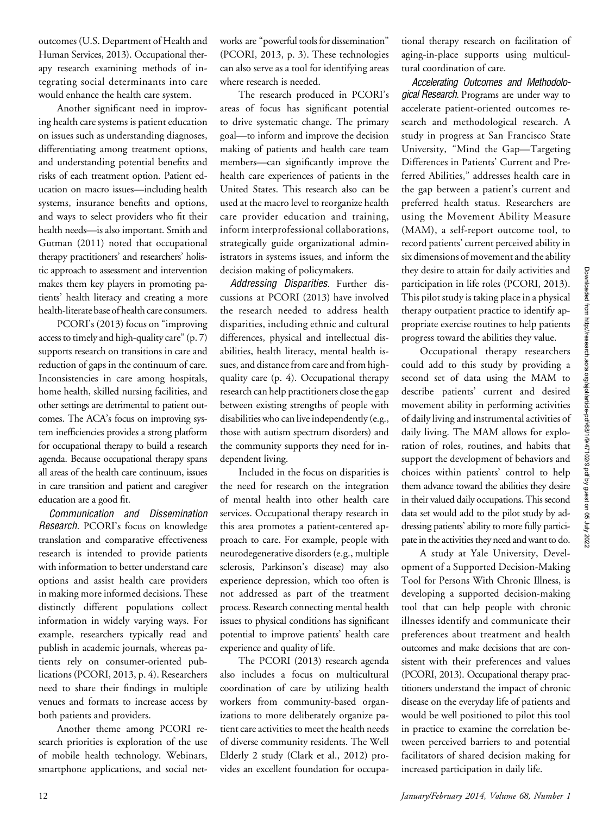outcomes (U.S. Department of Health and Human Services, 2013). Occupational therapy research examining methods of integrating social determinants into care would enhance the health care system.

Another significant need in improving health care systems is patient education on issues such as understanding diagnoses, differentiating among treatment options, and understanding potential benefits and risks of each treatment option. Patient education on macro issues—including health systems, insurance benefits and options, and ways to select providers who fit their health needs—is also important. Smith and Gutman (2011) noted that occupational therapy practitioners' and researchers' holistic approach to assessment and intervention makes them key players in promoting patients' health literacy and creating a more health-literate base of health care consumers.

PCORI's (2013) focus on "improving access to timely and high-quality care" (p. 7) supports research on transitions in care and reduction of gaps in the continuum of care. Inconsistencies in care among hospitals, home health, skilled nursing facilities, and other settings are detrimental to patient outcomes. The ACA's focus on improving system inefficiencies provides a strong platform for occupational therapy to build a research agenda. Because occupational therapy spans all areas of the health care continuum, issues in care transition and patient and caregiver education are a good fit.

Communication and Dissemination Research. PCORI's focus on knowledge translation and comparative effectiveness research is intended to provide patients with information to better understand care options and assist health care providers in making more informed decisions. These distinctly different populations collect information in widely varying ways. For example, researchers typically read and publish in academic journals, whereas patients rely on consumer-oriented publications (PCORI, 2013, p. 4). Researchers need to share their findings in multiple venues and formats to increase access by both patients and providers.

Another theme among PCORI research priorities is exploration of the use of mobile health technology. Webinars, smartphone applications, and social networks are "powerful tools for dissemination" (PCORI, 2013, p. 3). These technologies can also serve as a tool for identifying areas where research is needed.

The research produced in PCORI's areas of focus has significant potential to drive systematic change. The primary goal—to inform and improve the decision making of patients and health care team members—can significantly improve the health care experiences of patients in the United States. This research also can be used at the macro level to reorganize health care provider education and training, inform interprofessional collaborations, strategically guide organizational administrators in systems issues, and inform the decision making of policymakers.

Addressing Disparities. Further discussions at PCORI (2013) have involved the research needed to address health disparities, including ethnic and cultural differences, physical and intellectual disabilities, health literacy, mental health issues, and distance from care and from highquality care (p. 4). Occupational therapy research can help practitioners close the gap between existing strengths of people with disabilities who can live independently (e.g., those with autism spectrum disorders) and the community supports they need for independent living.

Included in the focus on disparities is the need for research on the integration of mental health into other health care services. Occupational therapy research in this area promotes a patient-centered approach to care. For example, people with neurodegenerative disorders (e.g., multiple sclerosis, Parkinson's disease) may also experience depression, which too often is not addressed as part of the treatment process. Research connecting mental health issues to physical conditions has significant potential to improve patients' health care experience and quality of life.

The PCORI (2013) research agenda also includes a focus on multicultural coordination of care by utilizing health workers from community-based organizations to more deliberately organize patient care activities to meet the health needs of diverse community residents. The Well Elderly 2 study (Clark et al., 2012) provides an excellent foundation for occupa-

tional therapy research on facilitation of aging-in-place supports using multicultural coordination of care.

Accelerating Outcomes and Methodological Research. Programs are under way to accelerate patient-oriented outcomes research and methodological research. A study in progress at San Francisco State University, "Mind the Gap—Targeting Differences in Patients' Current and Preferred Abilities," addresses health care in the gap between a patient's current and preferred health status. Researchers are using the Movement Ability Measure (MAM), a self-report outcome tool, to record patients' current perceived ability in six dimensions of movement and the ability they desire to attain for daily activities and participation in life roles (PCORI, 2013). This pilot study is taking place in a physical therapy outpatient practice to identify appropriate exercise routines to help patients progress toward the abilities they value.

Occupational therapy researchers could add to this study by providing a second set of data using the MAM to describe patients' current and desired movement ability in performing activities of daily living and instrumental activities of daily living. The MAM allows for exploration of roles, routines, and habits that support the development of behaviors and choices within patients' control to help them advance toward the abilities they desire in their valued daily occupations. This second data set would add to the pilot study by addressing patients' ability to more fully participate in the activities they need and want to do.

A study at Yale University, Development of a Supported Decision-Making Tool for Persons With Chronic Illness, is developing a supported decision-making tool that can help people with chronic illnesses identify and communicate their preferences about treatment and health outcomes and make decisions that are consistent with their preferences and values (PCORI, 2013). Occupational therapy practitioners understand the impact of chronic disease on the everyday life of patients and would be well positioned to pilot this tool in practice to examine the correlation between perceived barriers to and potential facilitators of shared decision making for increased participation in daily life.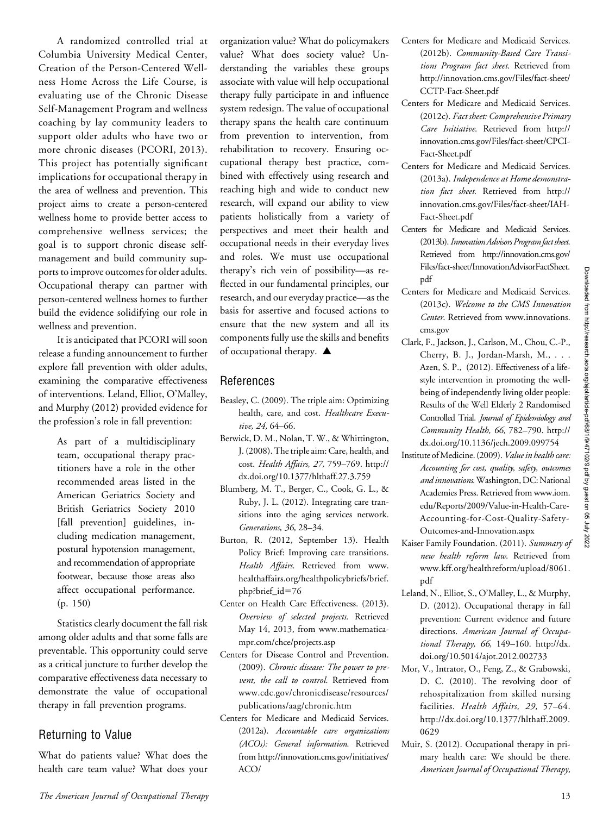A randomized controlled trial at Columbia University Medical Center, Creation of the Person-Centered Wellness Home Across the Life Course, is evaluating use of the Chronic Disease Self-Management Program and wellness coaching by lay community leaders to support older adults who have two or more chronic diseases (PCORI, 2013). This project has potentially significant implications for occupational therapy in the area of wellness and prevention. This project aims to create a person-centered wellness home to provide better access to comprehensive wellness services; the goal is to support chronic disease selfmanagement and build community supports to improve outcomes for older adults. Occupational therapy can partner with person-centered wellness homes to further build the evidence solidifying our role in wellness and prevention.

It is anticipated that PCORI will soon release a funding announcement to further explore fall prevention with older adults, examining the comparative effectiveness of interventions. Leland, Elliot, O'Malley, and Murphy (2012) provided evidence for the profession's role in fall prevention:

> As part of a multidisciplinary team, occupational therapy practitioners have a role in the other recommended areas listed in the American Geriatrics Society and British Geriatrics Society 2010 [fall prevention] guidelines, including medication management, postural hypotension management, and recommendation of appropriate footwear, because those areas also affect occupational performance. (p. 150)

Statistics clearly document the fall risk among older adults and that some falls are preventable. This opportunity could serve as a critical juncture to further develop the comparative effectiveness data necessary to demonstrate the value of occupational therapy in fall prevention programs.

#### Returning to Value

What do patients value? What does the health care team value? What does your organization value? What do policymakers value? What does society value? Understanding the variables these groups associate with value will help occupational therapy fully participate in and influence system redesign. The value of occupational therapy spans the health care continuum from prevention to intervention, from rehabilitation to recovery. Ensuring occupational therapy best practice, combined with effectively using research and reaching high and wide to conduct new research, will expand our ability to view patients holistically from a variety of perspectives and meet their health and occupational needs in their everyday lives and roles. We must use occupational therapy's rich vein of possibility—as reflected in our fundamental principles, our research, and our everyday practice—as the basis for assertive and focused actions to ensure that the new system and all its components fully use the skills and benefits of occupational therapy.  $\blacktriangle$ 

#### References

- Beasley, C. (2009). The triple aim: Optimizing health, care, and cost. Healthcare Executive, 24, 64-66.
- Berwick, D. M., Nolan, T. W., & Whittington, J. (2008). The triple aim: Care, health, and cost. Health Affairs, 27, 759–769. http:// dx.doi.org/10.1377/hlthaff.27.3.759
- Blumberg, M. T., Berger, C., Cook, G. L., & Ruby, J. L. (2012). Integrating care transitions into the aging services network. Generations, 36, 28–34.
- Burton, R. (2012, September 13). Health Policy Brief: Improving care transitions. Health Affairs. Retrieved from [www.](http://www.healthaffairs.org/healthpolicybriefs/brief.php?brief_id=76) [healthaffairs.org/healthpolicybriefs/brief.](http://www.healthaffairs.org/healthpolicybriefs/brief.php?brief_id=76) [php?brief\\_id](http://www.healthaffairs.org/healthpolicybriefs/brief.php?brief_id=76)=76
- Center on Health Care Effectiveness. (2013). Overview of selected projects. Retrieved May 14, 2013, from [www.mathematica](http://www.mathematica-mpr.com/chce/projects.asp)[mpr.com/chce/projects.asp](http://www.mathematica-mpr.com/chce/projects.asp)
- Centers for Disease Control and Prevention. (2009). Chronic disease: The power to prevent, the call to control. Retrieved from [www.cdc.gov/chronicdisease/resources/](http://www.cdc.gov/chronicdisease/resources/publications/aag/chronic.htm) [publications/aag/chronic.htm](http://www.cdc.gov/chronicdisease/resources/publications/aag/chronic.htm)
- Centers for Medicare and Medicaid Services. (2012a). Accountable care organizations (ACOs): General information. Retrieved from [http://innovation.cms.gov/initiatives/](http://innovation.cms.gov/initiatives/ACO/)  $ACO/$
- Centers for Medicare and Medicaid Services. (2012b). Community-Based Care Transitions Program fact sheet. Retrieved from [http://innovation.cms.gov/Files/fact-sheet/](http://innovation.cms.gov/Files/fact-sheet/CCTP-Fact-Sheet.pdf) [CCTP-Fact-Sheet.pdf](http://innovation.cms.gov/Files/fact-sheet/CCTP-Fact-Sheet.pdf)
- Centers for Medicare and Medicaid Services. (2012c). Fact sheet: Comprehensive Primary Care Initiative. Retrieved from [http://](http://innovation.cms.gov/Files/fact-sheet/CPCI-Fact-Sheet.pdf) [innovation.cms.gov/Files/fact-sheet/CPCI-](http://innovation.cms.gov/Files/fact-sheet/CPCI-Fact-Sheet.pdf)[Fact-Sheet.pdf](http://innovation.cms.gov/Files/fact-sheet/CPCI-Fact-Sheet.pdf)
- Centers for Medicare and Medicaid Services. (2013a). Independence at Home demonstration fact sheet. Retrieved from [http://](http://innovation.cms.gov/Files/fact-sheet/IAH-Fact-Sheet.pdf) [innovation.cms.gov/Files/fact-sheet/IAH-](http://innovation.cms.gov/Files/fact-sheet/IAH-Fact-Sheet.pdf)[Fact-Sheet.pdf](http://innovation.cms.gov/Files/fact-sheet/IAH-Fact-Sheet.pdf)
- Centers for Medicare and Medicaid Services. (2013b). Innovation Advisors Program fact sheet. Retrieved from [http://innovation.cms.gov/](http://innovation.cms.gov/Files/fact-sheet/InnovationAdvisorFactSheet.pdf) [Files/fact-sheet/InnovationAdvisorFactSheet.](http://innovation.cms.gov/Files/fact-sheet/InnovationAdvisorFactSheet.pdf) [pdf](http://innovation.cms.gov/Files/fact-sheet/InnovationAdvisorFactSheet.pdf)
- Centers for Medicare and Medicaid Services. (2013c). Welcome to the CMS Innovation Center. Retrieved from [www.innovations.](http://www.innovations.cms.gov) [cms.gov](http://www.innovations.cms.gov)
- Clark, F., Jackson, J., Carlson, M., Chou, C.-P., Cherry, B. J., Jordan-Marsh, M., . . . Azen, S. P., (2012). Effectiveness of a lifestyle intervention in promoting the wellbeing of independently living older people: Results of the Well Elderly 2 Randomised Controlled Trial. Journal of Epidemiology and Community Health, 66, 782–790. http:// dx.doi.org/10.1136/jech.2009.099754
- Institute of Medicine. (2009). Value in health care: Accounting for cost, quality, safety, outcomes and innovations.Washington, DC: National Academies Press. Retrieved from [www.iom.](http://www.iom.edu/Reports/2009/Value-in-Health-Care-Accounting-for-Cost-Quality-Safety-Outcomes-and-Innovation.aspx) [edu/Reports/2009/Value-in-Health-Care-](http://www.iom.edu/Reports/2009/Value-in-Health-Care-Accounting-for-Cost-Quality-Safety-Outcomes-and-Innovation.aspx)[Accounting-for-Cost-Quality-Safety-](http://www.iom.edu/Reports/2009/Value-in-Health-Care-Accounting-for-Cost-Quality-Safety-Outcomes-and-Innovation.aspx)[Outcomes-and-Innovation.aspx](http://www.iom.edu/Reports/2009/Value-in-Health-Care-Accounting-for-Cost-Quality-Safety-Outcomes-and-Innovation.aspx)
- Kaiser Family Foundation. (2011). Summary of new health reform law. Retrieved from [www.kff.org/healthreform/upload/8061.](www.kff.org/healthreform/upload/8061.pdf) [pdf](www.kff.org/healthreform/upload/8061.pdf)
- Leland, N., Elliot, S., O'Malley, L., & Murphy, D. (2012). Occupational therapy in fall prevention: Current evidence and future directions. American Journal of Occupational Therapy, 66, 149–160. http://dx. doi.org/10.5014/ajot.2012.002733
- Mor, V., Intrator, O., Feng, Z., & Grabowski, D. C. (2010). The revolving door of rehospitalization from skilled nursing facilities. Health Affairs, 29, 57–64. http://dx.doi.org/10.1377/hlthaff.2009. 0629
- Muir, S. (2012). Occupational therapy in primary health care: We should be there. American Journal of Occupational Therapy,